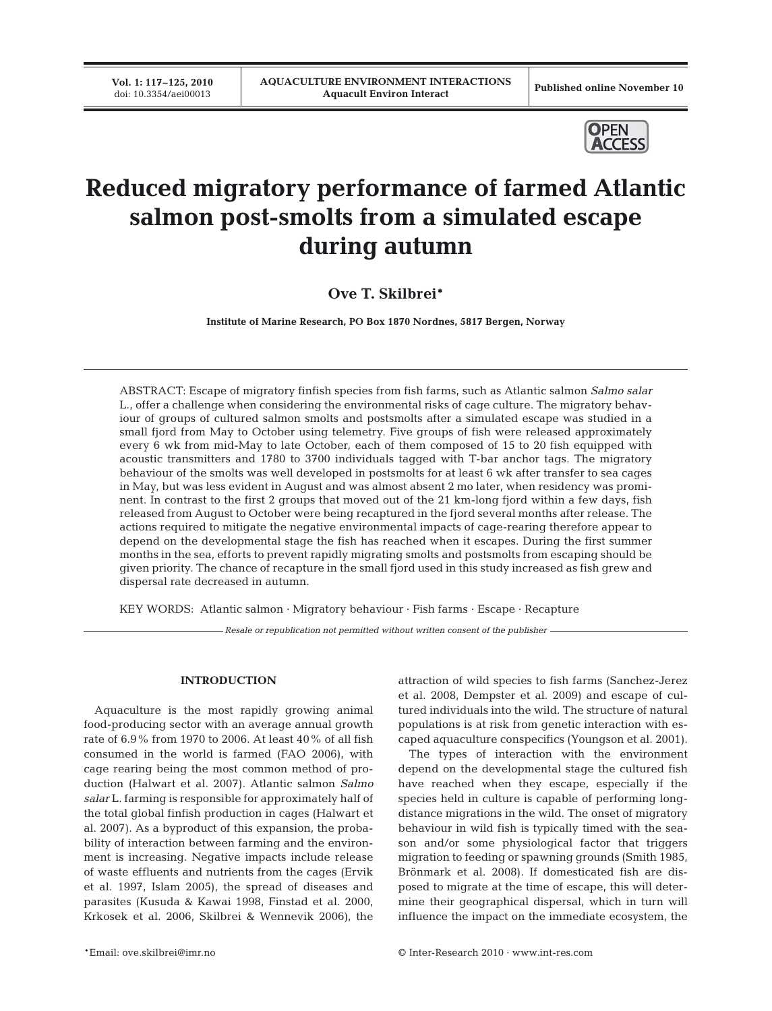**Vol. 1: 117–125, 2010**<br>doi: 10.3354/aei00013



# **Reduced migratory performance of farmed Atlantic salmon post-smolts from a simulated escape during autumn**

**Ove T. Skilbrei\***

**Institute of Marine Research, PO Box 1870 Nordnes, 5817 Bergen, Norway**

ABSTRACT: Escape of migratory finfish species from fish farms, such as Atlantic salmon *Salmo salar* L., offer a challenge when considering the environmental risks of cage culture. The migratory behaviour of groups of cultured salmon smolts and postsmolts after a simulated escape was studied in a small fjord from May to October using telemetry. Five groups of fish were released approximately every 6 wk from mid-May to late October, each of them composed of 15 to 20 fish equipped with acoustic transmitters and 1780 to 3700 individuals tagged with T-bar anchor tags. The migratory behaviour of the smolts was well developed in postsmolts for at least 6 wk after transfer to sea cages in May, but was less evident in August and was almost absent 2 mo later, when residency was prominent. In contrast to the first 2 groups that moved out of the 21 km-long fjord within a few days, fish released from August to October were being recaptured in the fjord several months after release. The actions required to mitigate the negative environmental impacts of cage-rearing therefore appear to depend on the developmental stage the fish has reached when it escapes. During the first summer months in the sea, efforts to prevent rapidly migrating smolts and postsmolts from escaping should be given priority. The chance of recapture in the small fjord used in this study increased as fish grew and dispersal rate decreased in autumn.

KEY WORDS: Atlantic salmon · Migratory behaviour · Fish farms · Escape · Recapture

*Resale or republication not permitted without written consent of the publisher*

## **INTRODUCTION**

Aquaculture is the most rapidly growing animal food-producing sector with an average annual growth rate of 6.9% from 1970 to 2006. At least 40% of all fish consumed in the world is farmed (FAO 2006), with cage rearing being the most common method of production (Halwart et al. 2007). Atlantic salmon *Salmo salar* L. farming is responsible for approximately half of the total global finfish production in cages (Halwart et al. 2007). As a byproduct of this expansion, the probability of interaction between farming and the environment is increasing. Negative impacts include release of waste effluents and nutrients from the cages (Ervik et al. 1997, Islam 2005), the spread of diseases and parasites (Kusuda & Kawai 1998, Finstad et al. 2000, Krkosek et al. 2006, Skilbrei & Wennevik 2006), the

et al. 2008, Dempster et al. 2009) and escape of cultured individuals into the wild. The structure of natural populations is at risk from genetic interaction with escaped aquaculture conspecifics (Youngson et al. 2001). The types of interaction with the environment

depend on the developmental stage the cultured fish have reached when they escape, especially if the species held in culture is capable of performing longdistance migrations in the wild. The onset of migratory behaviour in wild fish is typically timed with the season and/or some physiological factor that triggers migration to feeding or spawning grounds (Smith 1985, Brönmark et al. 2008). If domesticated fish are disposed to migrate at the time of escape, this will determine their geographical dispersal, which in turn will influence the impact on the immediate ecosystem, the

attraction of wild species to fish farms (Sanchez-Jerez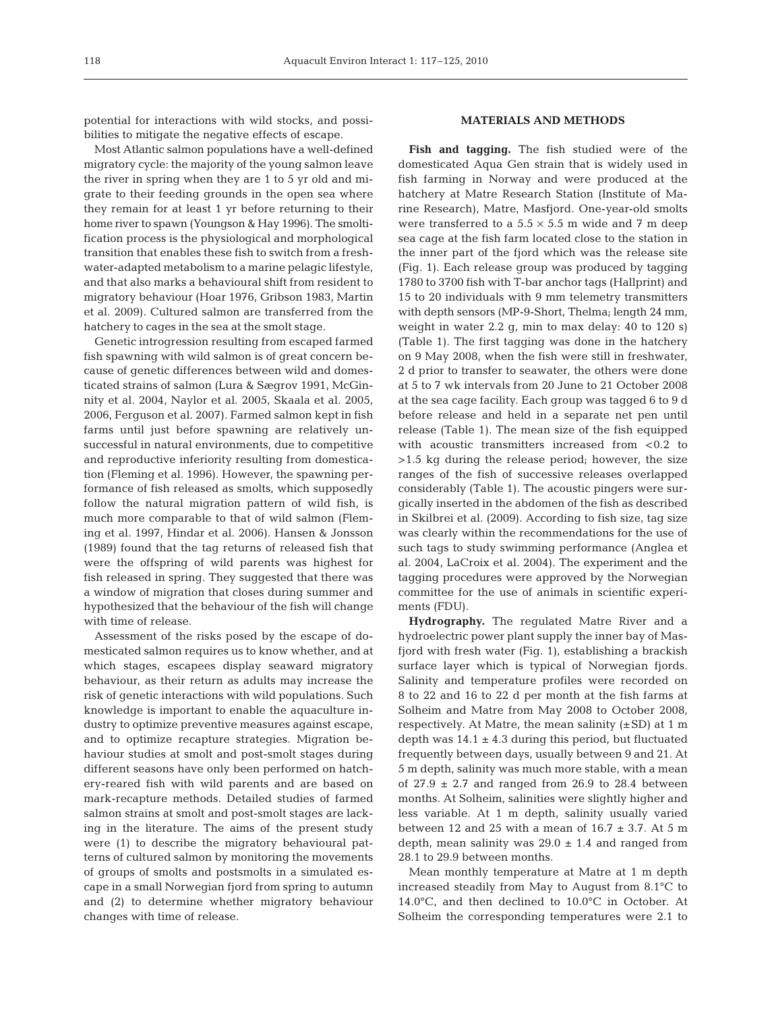potential for interactions with wild stocks, and possibilities to mitigate the negative effects of escape.

Most Atlantic salmon populations have a well-defined migratory cycle: the majority of the young salmon leave the river in spring when they are 1 to 5 yr old and migrate to their feeding grounds in the open sea where they remain for at least 1 yr before returning to their home river to spawn (Youngson & Hay 1996). The smoltification process is the physiological and morphological transition that enables these fish to switch from a freshwater-adapted metabolism to a marine pelagic lifestyle, and that also marks a behavioural shift from resident to migratory behaviour (Hoar 1976, Gribson 1983, Martin et al. 2009). Cultured salmon are transferred from the hatchery to cages in the sea at the smolt stage.

Genetic introgression resulting from escaped farmed fish spawning with wild salmon is of great concern because of genetic differences between wild and domesticated strains of salmon (Lura & Sægrov 1991, McGinnity et al. 2004, Naylor et al. 2005, Skaala et al. 2005, 2006, Ferguson et al. 2007). Farmed salmon kept in fish farms until just before spawning are relatively unsuccessful in natural environments, due to competitive and reproductive inferiority resulting from domestication (Fleming et al. 1996). However, the spawning performance of fish released as smolts, which supposedly follow the natural migration pattern of wild fish, is much more comparable to that of wild salmon (Fleming et al. 1997, Hindar et al. 2006). Hansen & Jonsson (1989) found that the tag returns of released fish that were the offspring of wild parents was highest for fish released in spring. They suggested that there was a window of migration that closes during summer and hypothesized that the behaviour of the fish will change with time of release.

Assessment of the risks posed by the escape of domesticated salmon requires us to know whether, and at which stages, escapees display seaward migratory behaviour, as their return as adults may increase the risk of genetic interactions with wild populations. Such knowledge is important to enable the aquaculture industry to optimize preventive measures against escape, and to optimize recapture strategies. Migration behaviour studies at smolt and post-smolt stages during different seasons have only been performed on hatchery-reared fish with wild parents and are based on mark-recapture methods. Detailed studies of farmed salmon strains at smolt and post-smolt stages are lacking in the literature. The aims of the present study were (1) to describe the migratory behavioural patterns of cultured salmon by monitoring the movements of groups of smolts and postsmolts in a simulated escape in a small Norwegian fjord from spring to autumn and (2) to determine whether migratory behaviour changes with time of release.

## **MATERIALS AND METHODS**

**Fish and tagging.** The fish studied were of the domesticated Aqua Gen strain that is widely used in fish farming in Norway and were produced at the hatchery at Matre Research Station (Institute of Marine Research), Matre, Masfjord. One-year-old smolts were transferred to a  $5.5 \times 5.5$  m wide and 7 m deep sea cage at the fish farm located close to the station in the inner part of the fjord which was the release site (Fig. 1). Each release group was produced by tagging 1780 to 3700 fish with T-bar anchor tags (Hallprint) and 15 to 20 individuals with 9 mm telemetry transmitters with depth sensors (MP-9-Short, Thelma; length 24 mm, weight in water 2.2 g, min to max delay: 40 to 120 s) (Table 1). The first tagging was done in the hatchery on 9 May 2008, when the fish were still in freshwater, 2 d prior to transfer to seawater, the others were done at 5 to 7 wk intervals from 20 June to 21 October 2008 at the sea cage facility. Each group was tagged 6 to 9 d before release and held in a separate net pen until release (Table 1). The mean size of the fish equipped with acoustic transmitters increased from <0.2 to >1.5 kg during the release period; however, the size ranges of the fish of successive releases overlapped considerably (Table 1). The acoustic pingers were surgically inserted in the abdomen of the fish as described in Skilbrei et al. (2009). According to fish size, tag size was clearly within the recommendations for the use of such tags to study swimming performance (Anglea et al. 2004, LaCroix et al. 2004). The experiment and the tagging procedures were approved by the Norwegian committee for the use of animals in scientific experiments (FDU).

**Hydrography.** The regulated Matre River and a hydroelectric power plant supply the inner bay of Masfjord with fresh water (Fig. 1), establishing a brackish surface layer which is typical of Norwegian fjords. Salinity and temperature profiles were recorded on 8 to 22 and 16 to 22 d per month at the fish farms at Solheim and Matre from May 2008 to October 2008, respectively. At Matre, the mean salinity  $(\pm SD)$  at 1 m depth was  $14.1 \pm 4.3$  during this period, but fluctuated frequently between days, usually between 9 and 21. At 5 m depth, salinity was much more stable, with a mean of  $27.9 \pm 2.7$  and ranged from 26.9 to 28.4 between months. At Solheim, salinities were slightly higher and less variable. At 1 m depth, salinity usually varied between 12 and 25 with a mean of  $16.7 \pm 3.7$ . At 5 m depth, mean salinity was  $29.0 \pm 1.4$  and ranged from 28.1 to 29.9 between months.

Mean monthly temperature at Matre at 1 m depth increased steadily from May to August from 8.1°C to 14.0°C, and then declined to 10.0°C in October. At Solheim the corresponding temperatures were 2.1 to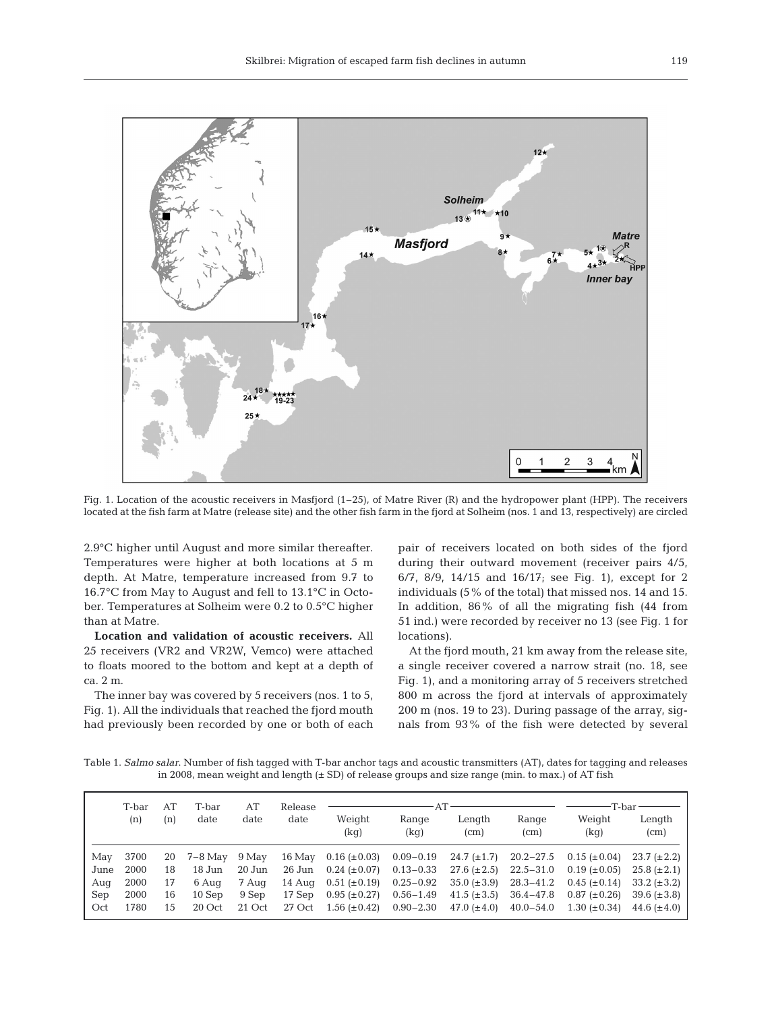

Fig. 1. Location of the acoustic receivers in Masfjord (1–25), of Matre River (R) and the hydropower plant (HPP). The receivers located at the fish farm at Matre (release site) and the other fish farm in the fjord at Solheim (nos. 1 and 13, respectively) are circled

2.9°C higher until August and more similar thereafter. Temperatures were higher at both locations at 5 m depth. At Matre, temperature increased from 9.7 to 16.7°C from May to August and fell to 13.1°C in October. Temperatures at Solheim were 0.2 to 0.5°C higher than at Matre.

**Location and validation of acoustic receivers.** All 25 receivers (VR2 and VR2W, Vemco) were attached to floats moored to the bottom and kept at a depth of ca. 2 m.

The inner bay was covered by 5 receivers (nos. 1 to 5, Fig. 1). All the individuals that reached the fjord mouth had previously been recorded by one or both of each

pair of receivers located on both sides of the fjord during their outward movement (receiver pairs 4/5, 6/7, 8/9, 14/15 and 16/17; see Fig. 1), except for 2 individuals (5% of the total) that missed nos. 14 and 15. In addition, 86% of all the migrating fish (44 from 51 ind.) were recorded by receiver no 13 (see Fig. 1 for locations).

At the fjord mouth, 21 km away from the release site, a single receiver covered a narrow strait (no. 18, see Fig. 1), and a monitoring array of 5 receivers stretched 800 m across the fjord at intervals of approximately 200 m (nos. 19 to 23). During passage of the array, signals from 93% of the fish were detected by several

Table 1. *Salmo salar*. Number of fish tagged with T-bar anchor tags and acoustic transmitters (AT), dates for tagging and releases in 2008, mean weight and length  $(\pm SD)$  of release groups and size range (min. to max.) of AT fish

|      | T-bar<br>(n) | AT<br>(n) | T-bar<br>date | AT<br>date | Release<br>date |                   |               |                             |               | T-bar               |                  |
|------|--------------|-----------|---------------|------------|-----------------|-------------------|---------------|-----------------------------|---------------|---------------------|------------------|
|      |              |           |               |            |                 | Weight<br>(kg)    | Range<br>(kg) | Length<br>(c <sub>m</sub> ) | Range<br>(cm) | Weight<br>(kg)      | Length<br>(cm)   |
| Mav  | 3700         | 20        | 7–8 May       | 9 May      | $16$ May        | $0.16~(\pm 0.03)$ | $0.09 - 0.19$ | $24.7 (\pm 1.7)$            | $20.2 - 27.5$ | $0.15 \ (\pm 0.04)$ | $23.7 (\pm 2.2)$ |
| June | 2000         | 18        | 18 Jun        | $20$ Jun   | 26 Jun          | $0.24~(\pm 0.07)$ | $0.13 - 0.33$ | $27.6~(\pm 2.5)$            | $22.5 - 31.0$ | $0.19 \ (\pm 0.05)$ | $25.8~(\pm 2.1)$ |
| Aug  | 2000         | 17        | 6 Aug         | 7 Aug      | 14 Aug          | $0.51 (\pm 0.19)$ | $0.25 - 0.92$ | $35.0 \ (\pm 3.9)$          | $28.3 - 41.2$ | $0.45~(\pm 0.14)$   | $33.2 (\pm 3.2)$ |
| Sep  | 2000         | 16        | $10$ Sep      | 9 Sep      | 17 Sep          | $0.95 (\pm 0.27)$ | $0.56 - 1.49$ | 41.5 $(\pm 3.5)$            | $36.4 - 47.8$ | $0.87 (\pm 0.26)$   | $39.6 (\pm 3.8)$ |
| Oct  | 1780         | 15        | 20 Oct        | 21 Oct     | 27 Oct          | $1.56 (\pm 0.42)$ | $0.90 - 2.30$ | 47.0 $(\pm 4.0)$            | $40.0 - 54.0$ | $1.30 (\pm 0.34)$   | 44.6 $(\pm 4.0)$ |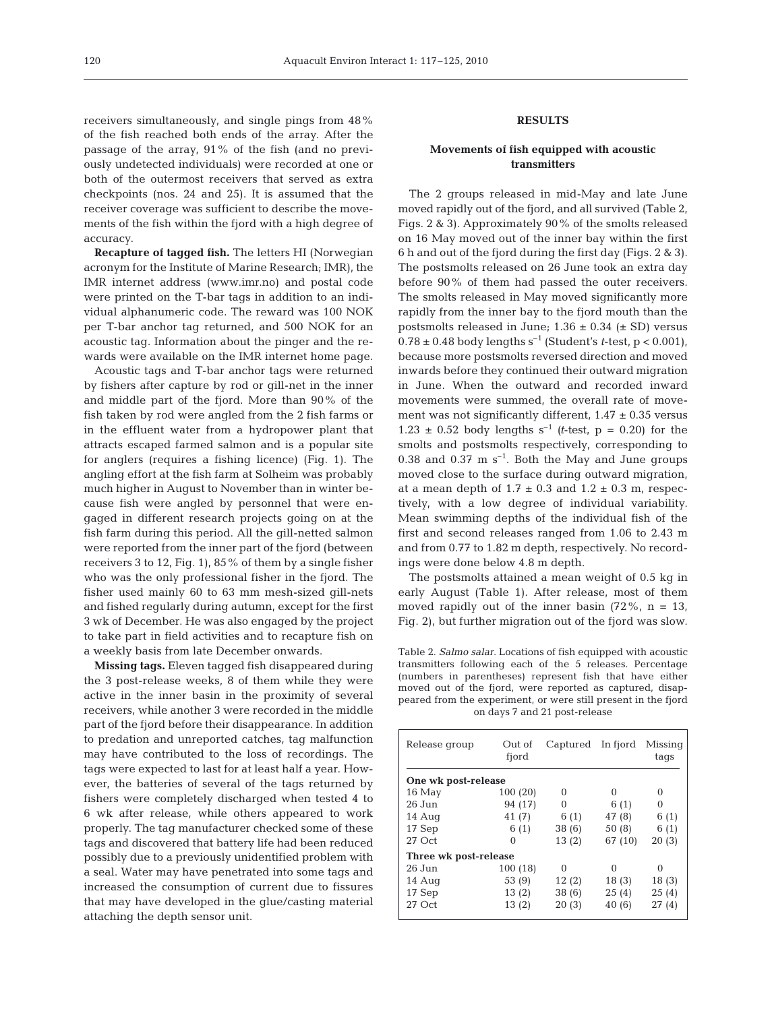receivers simultaneously, and single pings from 48% of the fish reached both ends of the array. After the passage of the array, 91% of the fish (and no previously undetected individuals) were recorded at one or both of the outermost receivers that served as extra checkpoints (nos. 24 and 25). It is assumed that the receiver coverage was sufficient to describe the movements of the fish within the fjord with a high degree of accuracy.

**Recapture of tagged fish.** The letters HI (Norwegian acronym for the Institute of Marine Research; IMR), the IMR internet address (www.imr.no) and postal code were printed on the T-bar tags in addition to an individual alphanumeric code. The reward was 100 NOK per T-bar anchor tag returned, and 500 NOK for an acoustic tag. Information about the pinger and the rewards were available on the IMR internet home page.

Acoustic tags and T-bar anchor tags were returned by fishers after capture by rod or gill-net in the inner and middle part of the fjord. More than 90% of the fish taken by rod were angled from the 2 fish farms or in the effluent water from a hydropower plant that attracts escaped farmed salmon and is a popular site for anglers (requires a fishing licence) (Fig. 1). The angling effort at the fish farm at Solheim was probably much higher in August to November than in winter because fish were angled by personnel that were engaged in different research projects going on at the fish farm during this period. All the gill-netted salmon were reported from the inner part of the fjord (between receivers 3 to 12, Fig. 1), 85% of them by a single fisher who was the only professional fisher in the fjord. The fisher used mainly 60 to 63 mm mesh-sized gill-nets and fished regularly during autumn, except for the first 3 wk of December. He was also engaged by the project to take part in field activities and to recapture fish on a weekly basis from late December onwards.

**Missing tags.** Eleven tagged fish disappeared during the 3 post-release weeks, 8 of them while they were active in the inner basin in the proximity of several receivers, while another 3 were recorded in the middle part of the fjord before their disappearance. In addition to predation and unreported catches, tag malfunction may have contributed to the loss of recordings. The tags were expected to last for at least half a year. However, the batteries of several of the tags returned by fishers were completely discharged when tested 4 to 6 wk after release, while others appeared to work properly. The tag manufacturer checked some of these tags and discovered that battery life had been reduced possibly due to a previously unidentified problem with a seal. Water may have penetrated into some tags and increased the consumption of current due to fissures that may have developed in the glue/casting material attaching the depth sensor unit.

# **RESULTS**

# **Movements of fish equipped with acoustic transmitters**

The 2 groups released in mid-May and late June moved rapidly out of the fjord, and all survived (Table 2, Figs. 2 & 3). Approximately 90% of the smolts released on 16 May moved out of the inner bay within the first 6 h and out of the fjord during the first day (Figs. 2 & 3). The postsmolts released on 26 June took an extra day before 90% of them had passed the outer receivers. The smolts released in May moved significantly more rapidly from the inner bay to the fjord mouth than the postsmolts released in June;  $1.36 \pm 0.34$  ( $\pm$  SD) versus  $0.78 \pm 0.48$  body lengths s<sup>-1</sup> (Student's *t*-test, p < 0.001), because more postsmolts reversed direction and moved inwards before they continued their outward migration in June. When the outward and recorded inward movements were summed, the overall rate of movement was not significantly different,  $1.47 \pm 0.35$  versus 1.23  $\pm$  0.52 body lengths s<sup>-1</sup> (*t*-test, p = 0.20) for the smolts and postsmolts respectively, corresponding to 0.38 and 0.37  $\text{m s}^{-1}$ . Both the May and June groups moved close to the surface during outward migration, at a mean depth of  $1.7 \pm 0.3$  and  $1.2 \pm 0.3$  m, respectively, with a low degree of individual variability. Mean swimming depths of the individual fish of the first and second releases ranged from 1.06 to 2.43 m and from 0.77 to 1.82 m depth, respectively. No recordings were done below 4.8 m depth.

The postsmolts attained a mean weight of 0.5 kg in early August (Table 1). After release, most of them moved rapidly out of the inner basin  $(72\% , n = 13,$ Fig. 2), but further migration out of the fjord was slow.

Table 2. *Salmo salar*. Locations of fish equipped with acoustic transmitters following each of the 5 releases. Percentage (numbers in parentheses) represent fish that have either moved out of the fjord, were reported as captured, disappeared from the experiment, or were still present in the fjord on days 7 and 21 post-release

| Release group         | Out of<br>fjord | Captured | In fjord | Missing<br>tags |  |  |  |  |  |  |  |  |
|-----------------------|-----------------|----------|----------|-----------------|--|--|--|--|--|--|--|--|
| One wk post-release   |                 |          |          |                 |  |  |  |  |  |  |  |  |
| $16$ May              | 100(20)         | $\Omega$ | $\Omega$ | Ω               |  |  |  |  |  |  |  |  |
| $26$ Jun              | 94 (17)         | $\Omega$ | 6(1)     | 0               |  |  |  |  |  |  |  |  |
| 14 Aug                | 41 (7)          | 6(1)     | 47 (8)   | 6(1)            |  |  |  |  |  |  |  |  |
| 17 Sep                | 6(1)            | 38(6)    | 50(8)    | 6(1)            |  |  |  |  |  |  |  |  |
| $27$ Oct              | 0               | 13(2)    | 67 (10)  | 20(3)           |  |  |  |  |  |  |  |  |
| Three wk post-release |                 |          |          |                 |  |  |  |  |  |  |  |  |
| $26$ Jun              | 100 (18)        | $\Omega$ | $\Omega$ | $\Omega$        |  |  |  |  |  |  |  |  |
| 14 Aug                | 53 (9)          | 12(2)    | 18(3)    | 18(3)           |  |  |  |  |  |  |  |  |
| 17 Sep                | 13(2)           | 38(6)    | 25(4)    | 25(4)           |  |  |  |  |  |  |  |  |
| $27$ Oct              | 13(2)           | 20(3)    | 40 (6)   | 27(4)           |  |  |  |  |  |  |  |  |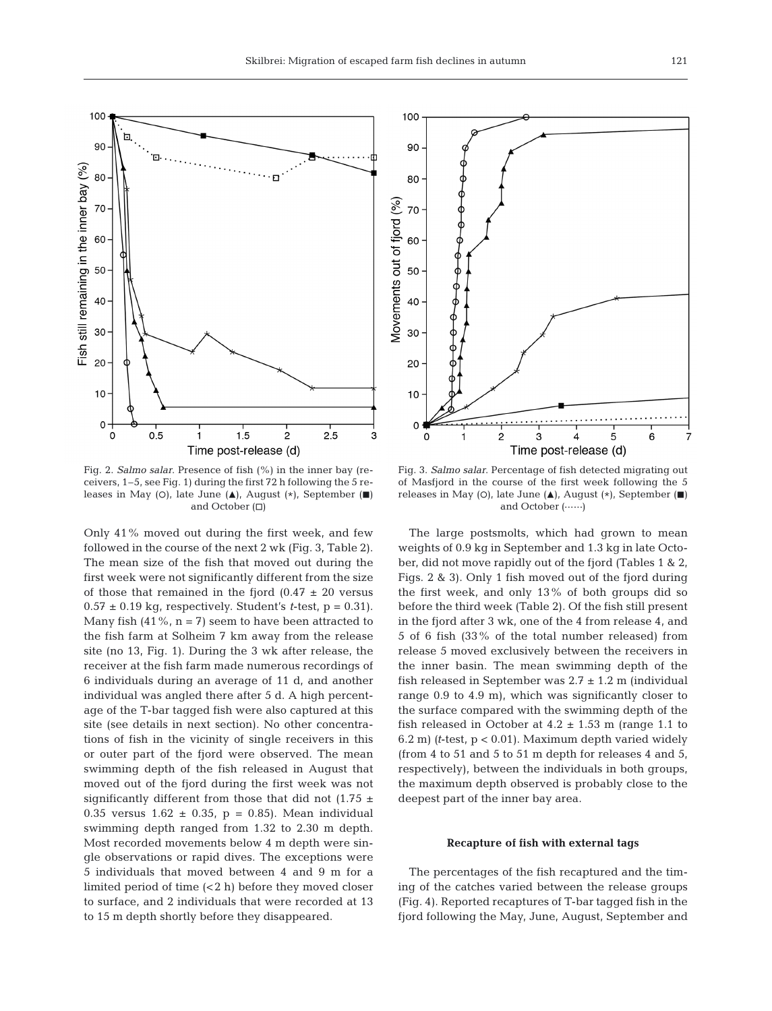

Fig. 2. *Salmo salar*. Presence of fish (%) in the inner bay (receivers, 1–5, see Fig. 1) during the first 72 h following the 5 releases in May (O), late June ( $\blacktriangle$ ), August (\*), September ( $\blacksquare$ ) and October  $(\Box)$ 

Only 41% moved out during the first week, and few followed in the course of the next 2 wk (Fig. 3, Table 2). The mean size of the fish that moved out during the first week were not significantly different from the size of those that remained in the fjord  $(0.47 \pm 20$  versus  $0.57 \pm 0.19$  kg, respectively. Student's *t*-test,  $p = 0.31$ . Many fish  $(41\%, n = 7)$  seem to have been attracted to the fish farm at Solheim 7 km away from the release site (no 13, Fig. 1). During the 3 wk after release, the receiver at the fish farm made numerous recordings of 6 individuals during an average of 11 d, and another individual was angled there after 5 d. A high percentage of the T-bar tagged fish were also captured at this site (see details in next section). No other concentrations of fish in the vicinity of single receivers in this or outer part of the fjord were observed. The mean swimming depth of the fish released in August that moved out of the fjord during the first week was not significantly different from those that did not (1.75  $\pm$ 0.35 versus  $1.62 \pm 0.35$ , p = 0.85). Mean individual swimming depth ranged from 1.32 to 2.30 m depth. Most recorded movements below 4 m depth were single observations or rapid dives. The exceptions were 5 individuals that moved between 4 and 9 m for a limited period of time (<2 h) before they moved closer to surface, and 2 individuals that were recorded at 13 to 15 m depth shortly before they disappeared.



Fig. 3. *Salmo salar*. Percentage of fish detected migrating out of Masfjord in the course of the first week following the 5 releases in May (O), late June  $(\triangle)$ , August  $(*)$ , September  $(\blacksquare)$ and October (------)

The large postsmolts, which had grown to mean weights of 0.9 kg in September and 1.3 kg in late October, did not move rapidly out of the fjord (Tables 1 & 2, Figs. 2 & 3). Only 1 fish moved out of the fjord during the first week, and only 13% of both groups did so before the third week (Table 2). Of the fish still present in the fjord after 3 wk, one of the 4 from release 4, and 5 of 6 fish (33% of the total number released) from release 5 moved exclusively between the receivers in the inner basin. The mean swimming depth of the fish released in September was  $2.7 \pm 1.2$  m (individual range 0.9 to 4.9 m), which was significantly closer to the surface compared with the swimming depth of the fish released in October at  $4.2 \pm 1.53$  m (range 1.1 to 6.2 m) *(t*-test, p < 0.01). Maximum depth varied widely (from 4 to 51 and 5 to 51 m depth for releases 4 and 5, respectively), between the individuals in both groups, the maximum depth observed is probably close to the deepest part of the inner bay area.

#### **Recapture of fish with external tags**

The percentages of the fish recaptured and the timing of the catches varied between the release groups (Fig. 4). Reported recaptures of T-bar tagged fish in the fjord following the May, June, August, September and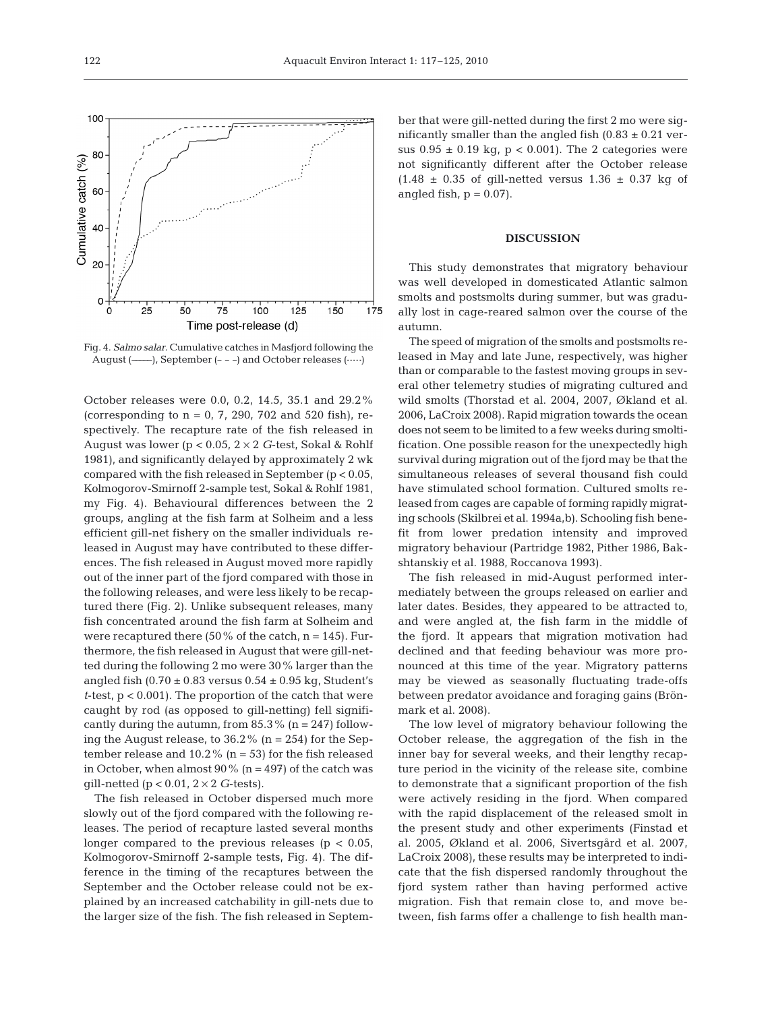

Fig. 4. *Salmo salar*. Cumulative catches in Masfjord following the August (----------), September (- - -) and October releases (-----)

October releases were 0.0, 0.2, 14.5, 35.1 and 29.2% (corresponding to  $n = 0$ , 7, 290, 702 and 520 fish), respectively. The recapture rate of the fish released in August was lower (p < 0.05, 2 × 2 *G*-test, Sokal & Rohlf 1981), and significantly delayed by approximately 2 wk compared with the fish released in September  $(p < 0.05$ , Kolmogorov-Smirnoff 2-sample test, Sokal & Rohlf 1981, my Fig. 4). Behavioural differences between the 2 groups, angling at the fish farm at Solheim and a less efficient gill-net fishery on the smaller individuals released in August may have contributed to these differences. The fish released in August moved more rapidly out of the inner part of the fjord compared with those in the following releases, and were less likely to be recaptured there (Fig. 2). Unlike subsequent releases, many fish concentrated around the fish farm at Solheim and were recaptured there  $(50\%$  of the catch,  $n = 145$ ). Furthermore, the fish released in August that were gill-netted during the following 2 mo were 30% larger than the angled fish  $(0.70 \pm 0.83 \text{ versus } 0.54 \pm 0.95 \text{ kg}$ , Student's *t*-test, p < 0.001). The proportion of the catch that were caught by rod (as opposed to gill-netting) fell significantly during the autumn, from  $85.3\%$  (n = 247) following the August release, to  $36.2\%$  (n = 254) for the September release and  $10.2\%$  (n = 53) for the fish released in October, when almost  $90\%$  (n = 497) of the catch was gill-netted ( $p < 0.01$ ,  $2 \times 2$  *G*-tests).

The fish released in October dispersed much more slowly out of the fjord compared with the following releases. The period of recapture lasted several months longer compared to the previous releases ( $p < 0.05$ , Kolmogorov-Smirnoff 2-sample tests, Fig. 4). The difference in the timing of the recaptures between the September and the October release could not be explained by an increased catchability in gill-nets due to the larger size of the fish. The fish released in September that were gill-netted during the first 2 mo were significantly smaller than the angled fish  $(0.83 \pm 0.21$  versus  $0.95 \pm 0.19$  kg, p < 0.001). The 2 categories were not significantly different after the October release  $(1.48 \pm 0.35 \text{ of }$  gill-netted versus  $1.36 \pm 0.37 \text{ kg of}$ angled fish,  $p = 0.07$ .

#### **DISCUSSION**

This study demonstrates that migratory behaviour was well developed in domesticated Atlantic salmon smolts and postsmolts during summer, but was gradually lost in cage-reared salmon over the course of the autumn.

The speed of migration of the smolts and postsmolts released in May and late June, respectively, was higher than or comparable to the fastest moving groups in several other telemetry studies of migrating cultured and wild smolts (Thorstad et al. 2004, 2007, Økland et al. 2006, LaCroix 2008). Rapid migration towards the ocean does not seem to be limited to a few weeks during smoltification. One possible reason for the unexpectedly high survival during migration out of the fjord may be that the simultaneous releases of several thousand fish could have stimulated school formation. Cultured smolts released from cages are capable of forming rapidly migrating schools (Skilbrei et al. 1994a,b). Schooling fish benefit from lower predation intensity and improved migratory behaviour (Partridge 1982, Pither 1986, Bakshtanskiy et al. 1988, Roccanova 1993).

The fish released in mid-August performed intermediately between the groups released on earlier and later dates. Besides, they appeared to be attracted to, and were angled at, the fish farm in the middle of the fjord. It appears that migration motivation had declined and that feeding behaviour was more pronounced at this time of the year. Migratory patterns may be viewed as seasonally fluctuating trade-offs between predator avoidance and foraging gains (Brönmark et al. 2008).

The low level of migratory behaviour following the October release, the aggregation of the fish in the inner bay for several weeks, and their lengthy recapture period in the vicinity of the release site, combine to demonstrate that a significant proportion of the fish were actively residing in the fjord. When compared with the rapid displacement of the released smolt in the present study and other experiments (Finstad et al. 2005, Økland et al. 2006, Sivertsgård et al. 2007, LaCroix 2008), these results may be interpreted to indicate that the fish dispersed randomly throughout the fjord system rather than having performed active migration. Fish that remain close to, and move between, fish farms offer a challenge to fish health man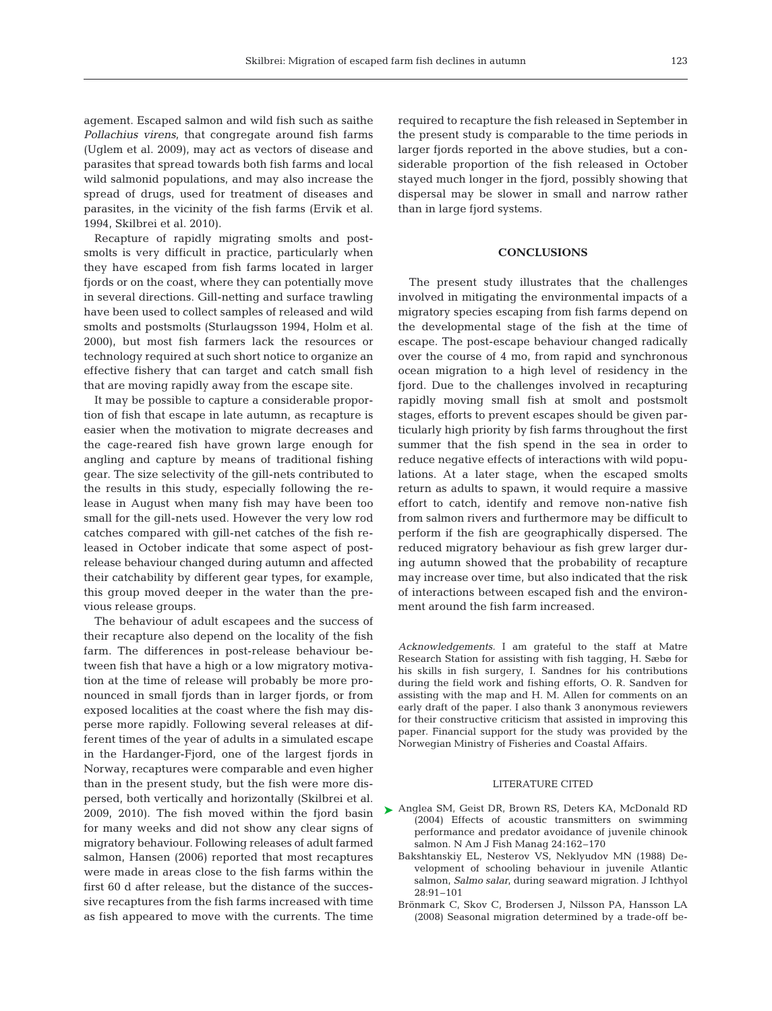agement. Escaped salmon and wild fish such as saithe *Pollachius virens*, that congregate around fish farms (Uglem et al. 2009), may act as vectors of disease and parasites that spread towards both fish farms and local wild salmonid populations, and may also increase the spread of drugs, used for treatment of diseases and parasites, in the vicinity of the fish farms (Ervik et al. 1994, Skilbrei et al. 2010).

Recapture of rapidly migrating smolts and postsmolts is very difficult in practice, particularly when they have escaped from fish farms located in larger fjords or on the coast, where they can potentially move in several directions. Gill-netting and surface trawling have been used to collect samples of released and wild smolts and postsmolts (Sturlaugsson 1994, Holm et al. 2000), but most fish farmers lack the resources or technology required at such short notice to organize an effective fishery that can target and catch small fish that are moving rapidly away from the escape site.

It may be possible to capture a considerable proportion of fish that escape in late autumn, as recapture is easier when the motivation to migrate decreases and the cage-reared fish have grown large enough for angling and capture by means of traditional fishing gear. The size selectivity of the gill-nets contributed to the results in this study, especially following the release in August when many fish may have been too small for the gill-nets used. However the very low rod catches compared with gill-net catches of the fish released in October indicate that some aspect of postrelease behaviour changed during autumn and affected their catchability by different gear types, for example, this group moved deeper in the water than the previous release groups.

The behaviour of adult escapees and the success of their recapture also depend on the locality of the fish farm. The differences in post-release behaviour between fish that have a high or a low migratory motivation at the time of release will probably be more pronounced in small fjords than in larger fjords, or from exposed localities at the coast where the fish may disperse more rapidly. Following several releases at different times of the year of adults in a simulated escape in the Hardanger-Fjord, one of the largest fjords in Norway, recaptures were comparable and even higher than in the present study, but the fish were more dispersed, both vertically and horizontally (Skilbrei et al. 2009, 2010). The fish moved within the fjord basin for many weeks and did not show any clear signs of migratory behaviour. Following releases of adult farmed salmon, Hansen (2006) reported that most recaptures were made in areas close to the fish farms within the first 60 d after release, but the distance of the successive recaptures from the fish farms increased with time as fish appeared to move with the currents. The time

required to recapture the fish released in September in the present study is comparable to the time periods in larger fjords reported in the above studies, but a considerable proportion of the fish released in October stayed much longer in the fjord, possibly showing that dispersal may be slower in small and narrow rather than in large fjord systems.

### **CONCLUSIONS**

The present study illustrates that the challenges involved in mitigating the environmental impacts of a migratory species escaping from fish farms depend on the developmental stage of the fish at the time of escape. The post-escape behaviour changed radically over the course of 4 mo, from rapid and synchronous ocean migration to a high level of residency in the fjord. Due to the challenges involved in recapturing rapidly moving small fish at smolt and postsmolt stages, efforts to prevent escapes should be given particularly high priority by fish farms throughout the first summer that the fish spend in the sea in order to reduce negative effects of interactions with wild populations. At a later stage, when the escaped smolts return as adults to spawn, it would require a massive effort to catch, identify and remove non-native fish from salmon rivers and furthermore may be difficult to perform if the fish are geographically dispersed. The reduced migratory behaviour as fish grew larger during autumn showed that the probability of recapture may increase over time, but also indicated that the risk of interactions between escaped fish and the environment around the fish farm increased.

*Acknowledgements.* I am grateful to the staff at Matre Research Station for assisting with fish tagging, H. Sæbø for his skills in fish surgery, I. Sandnes for his contributions during the field work and fishing efforts, O. R. Sandven for assisting with the map and H. M. Allen for comments on an early draft of the paper. I also thank 3 anonymous reviewers for their constructive criticism that assisted in improving this paper. Financial support for the study was provided by the Norwegian Ministry of Fisheries and Coastal Affairs.

## LITERATURE CITED

- ▶ Anglea SM, Geist DR, Brown RS, Deters KA, McDonald RD (2004) Effects of acoustic transmitters on swimming performance and predator avoidance of juvenile chinook salmon. N Am J Fish Manag 24:162–170
	- Bakshtanskiy EL, Nesterov VS, Neklyudov MN (1988) Development of schooling behaviour in juvenile Atlantic salmon, *Salmo salar*, during seaward migration. J Ichthyol 28:91–101
	- Brönmark C, Skov C, Brodersen J, Nilsson PA, Hansson LA (2008) Seasonal migration determined by a trade-off be-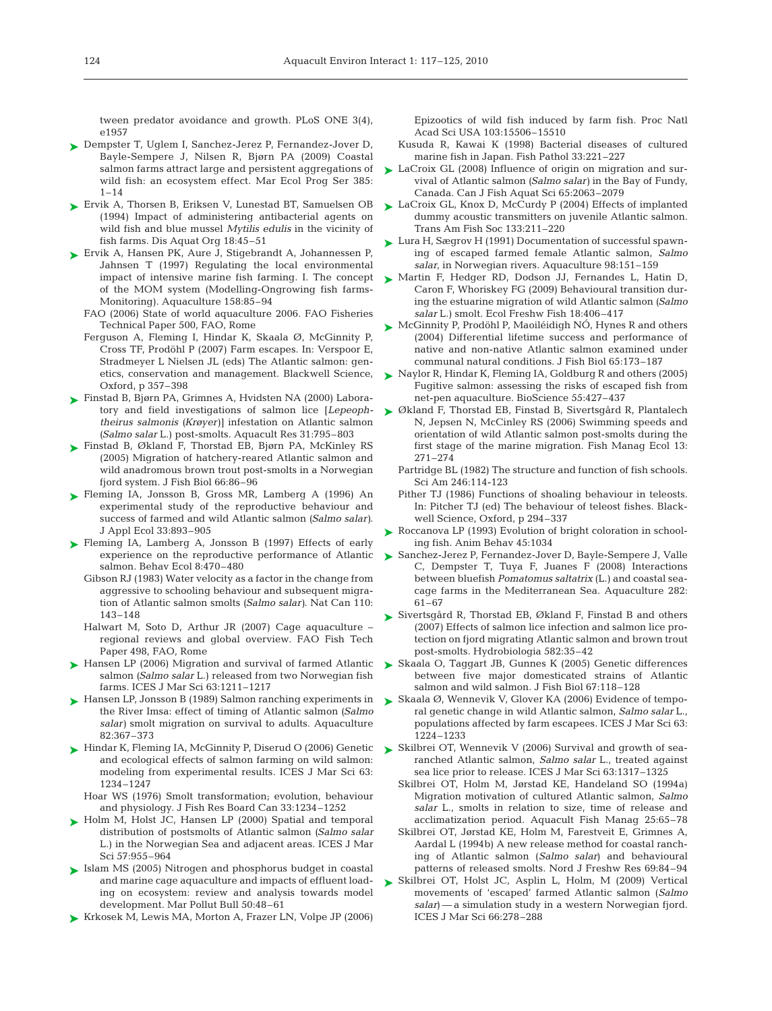tween predator avoidance and growth. PLoS ONE 3(4), e1957

- ► Dempster T, Uglem I, Sanchez-Jerez P, Fernandez-Jover D, Bayle-Sempere J, Nilsen R, Bjørn PA (2009) Coastal salmon farms attract large and persistent aggregations of wild fish: an ecosystem effect. Mar Ecol Prog Ser 385:  $1 - 14$
- ► Ervik A, Thorsen B, Eriksen V, Lunestad BT, Samuelsen OB (1994) Impact of administering antibacterial agents on wild fish and blue mussel *Mytilis edulis* in the vicinity of fish farms. Dis Aquat Org 18:45–51
- ► Ervik A, Hansen PK, Aure J, Stigebrandt A, Johannessen P, Jahnsen T (1997) Regulating the local environmental impact of intensive marine fish farming. I. The concept of the MOM system (Modelling-Ongrowing fish farms-Monitoring). Aquaculture 158:85–94
	- FAO (2006) State of world aquaculture 2006. FAO Fisheries Technical Paper 500, FAO, Rome
	- Ferguson A, Fleming I, Hindar K, Skaala Ø, McGinnity P, Cross TF, Prodöhl P (2007) Farm escapes. In: Verspoor E, Stradmeyer L Nielsen JL (eds) The Atlantic salmon: genetics, conservation and management. Blackwell Science, Oxford, p 357–398
- ► Finstad B, Bjørn PA, Grimnes A, Hvidsten NA (2000) Labora*theirus salmonis (Krøyer)]* infestation on Atlantic salmon *(Salmo salar* L.) post-smolts. Aquacult Res 31:795–803
- ► Finstad B, Økland F, Thorstad EB, Bjørn PA, McKinley RS (2005) Migration of hatchery-reared Atlantic salmon and wild anadromous brown trout post-smolts in a Norwegian fjord system. J Fish Biol 66:86–96
- Fleming IA, Jonsson B, Gross MR, Lamberg A (1996) An ➤ experimental study of the reproductive behaviour and success of farmed and wild Atlantic salmon *(Salmo salar)*. J Appl Ecol 33:893–905
- ► Fleming IA, Lamberg A, Jonsson B (1997) Effects of early experience on the reproductive performance of Atlantic salmon. Behav Ecol 8:470–480
	- Gibson RJ (1983) Water velocity as a factor in the change from aggressive to schooling behaviour and subsequent migration of Atlantic salmon smolts *(Salmo salar)*. Nat Can 110: 143–148
	- Halwart M, Soto D, Arthur JR (2007) Cage aquaculture regional reviews and global overview. FAO Fish Tech Paper 498, FAO, Rome
- ► Hansen LP (2006) Migration and survival of farmed Atlantic salmon *(Salmo salar* L.) released from two Norwegian fish farms. ICES J Mar Sci 63:1211–1217
- ► Hansen LP, Jonsson B (1989) Salmon ranching experiments in the River Imsa: effect of timing of Atlantic salmon *(Salmo salar)* smolt migration on survival to adults. Aquaculture 82:367–373
- ► Hindar K, Fleming IA, McGinnity P, Diserud O (2006) Genetic and ecological effects of salmon farming on wild salmon: modeling from experimental results. ICES J Mar Sci 63: 1234–1247
	- Hoar WS (1976) Smolt transformation; evolution, behaviour and physiology. J Fish Res Board Can 33:1234–1252
- ► Holm M, Holst JC, Hansen LP (2000) Spatial and temporal distribution of postsmolts of Atlantic salmon *(Salmo salar* L.) in the Norwegian Sea and adjacent areas. ICES J Mar Sci 57:955–964
- ► Islam MS (2005) Nitrogen and phosphorus budget in coastal and marine cage aquaculture and impacts of effluent loading on ecosystem: review and analysis towards model development. Mar Pollut Bull 50:48–61
- ► Krkosek M, Lewis MA, Morton A, Frazer LN, Volpe JP (2006)

Epizootics of wild fish induced by farm fish. Proc Natl Acad Sci USA 103:15506–15510

- Kusuda R, Kawai K (1998) Bacterial diseases of cultured marine fish in Japan. Fish Pathol 33:221–227
- $\blacktriangleright$  LaCroix GL (2008) Influence of origin on migration and survival of Atlantic salmon *(Salmo salar)* in the Bay of Fundy, Canada. Can J Fish Aquat Sci 65:2063–2079
- ► LaCroix GL, Knox D, McCurdy P (2004) Effects of implanted dummy acoustic transmitters on juvenile Atlantic salmon. Trans Am Fish Soc 133:211–220
- ► Lura H, Sægrov H (1991) Documentation of successful spawning of escaped farmed female Atlantic salmon, *Salmo salar*, in Norwegian rivers. Aquaculture 98:151–159
- ► Martin F, Hedger RD, Dodson JJ, Fernandes L, Hatin D, Caron F, Whoriskey FG (2009) Behavioural transition during the estuarine migration of wild Atlantic salmon *(Salmo salar* L.) smolt. Ecol Freshw Fish 18:406–417
- ► McGinnity P, Prodöhl P, Maoiléidigh NO, Hynes R and others (2004) Differential lifetime success and performance of native and non-native Atlantic salmon examined under communal natural conditions. J Fish Biol 65:173–187
- ► Naylor R, Hindar K, Fleming IA, Goldburg R and others (2005) Fugitive salmon: assessing the risks of escaped fish from net-pen aquaculture. BioScience 55:427–437
- tory and field investigations of salmon lice *[Lepeoph-*Økland F, Thorstad EB, Finstad B, Sivertsgård R, Plantalech ➤ N, Jepsen N, McCinley RS (2006) Swimming speeds and orientation of wild Atlantic salmon post-smolts during the first stage of the marine migration. Fish Manag Ecol 13: 271–274
	- Partridge BL (1982) The structure and function of fish schools. Sci Am 246:114-123
	- Pither TJ (1986) Functions of shoaling behaviour in teleosts. In: Pitcher TJ (ed) The behaviour of teleost fishes. Blackwell Science, Oxford, p 294–337
	- ► Roccanova LP (1993) Evolution of bright coloration in schooling fish. Anim Behav 45:1034
	- ► Sanchez-Jerez P, Fernandez-Jover D, Bayle-Sempere J, Valle C, Dempster T, Tuya F, Juanes F (2008) Interactions between bluefish *Pomatomus saltatrix* (L.) and coastal seacage farms in the Mediterranean Sea. Aquaculture 282: 61–67
	- ► Sivertsgård R, Thorstad EB, Økland F, Finstad B and others (2007) Effects of salmon lice infection and salmon lice protection on fjord migrating Atlantic salmon and brown trout post-smolts. Hydrobiologia 582:35–42
	- ► Skaala O, Taggart JB, Gunnes K (2005) Genetic differences between five major domesticated strains of Atlantic salmon and wild salmon. J Fish Biol 67:118–128
	- ► Skaala Ø, Wennevik V, Glover KA (2006) Evidence of temporal genetic change in wild Atlantic salmon, *Salmo salar* L., populations affected by farm escapees. ICES J Mar Sci 63: 1224–1233
	- ► Skilbrei OT, Wennevik V (2006) Survival and growth of searanched Atlantic salmon, *Salmo salar* L., treated against sea lice prior to release. ICES J Mar Sci 63:1317–1325
		- Skilbrei OT, Holm M, Jørstad KE, Handeland SO (1994a) Migration motivation of cultured Atlantic salmon, *Salmo salar* L., smolts in relation to size, time of release and acclimatization period. Aquacult Fish Manag 25:65–78
		- Skilbrei OT, Jørstad KE, Holm M, Farestveit E, Grimnes A, Aardal L (1994b) A new release method for coastal ranching of Atlantic salmon (*Salmo salar*) and behavioural patterns of released smolts. Nord J Freshw Res 69:84–94
	- ► Skilbrei OT, Holst JC, Asplin L, Holm, M (2009) Vertical movements of 'escaped' farmed Atlantic salmon (*Salmo salar*) — a simulation study in a western Norwegian fjord. ICES J Mar Sci 66:278–288